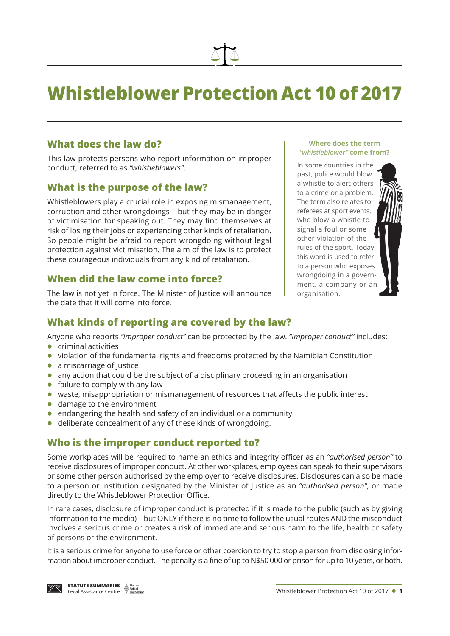# **Whistleblower Protection Act 10 of 2017**

## **What does the law do?**

This law protects persons who report information on improper conduct, referred to as *"whistleblowers"*.

### **What is the purpose of the law?**

Whistleblowers play a crucial role in exposing mismanagement, corruption and other wrongdoings – but they may be in danger of victimisation for speaking out. They may find themselves at risk of losing their jobs or experiencing other kinds of retaliation. So people might be afraid to report wrongdoing without legal protection against victimisation. The aim of the law is to protect these courageous individuals from any kind of retaliation.

### **When did the law come into force?**

The law is not yet in force. The Minister of Justice will announce the date that it will come into force*.*

#### **Where does the term**  *"whistleblower"* **come from?**

In some countries in the past, police would blow a whistle to alert others to a crime or a problem. The term also relates to referees at sport events, who blow a whistle to signal a foul or some other violation of the rules of the sport. Today this word is used to refer to a person who exposes wrongdoing in a government, a company or an organisation.



# **What kinds of reporting are covered by the law?**

Anyone who reports *"improper conduct"* can be protected by the law. *"Improper conduct"* includes:

- $\bullet$  criminal activities
- $\bullet$  violation of the fundamental rights and freedoms protected by the Namibian Constitution
- $\bullet$  a miscarriage of justice
- $\bullet$  any action that could be the subject of a disciplinary proceeding in an organisation
- $\bullet$  failure to comply with any law
- waste, misappropriation or mismanagement of resources that affects the public interest
- $\bullet$  damage to the environment
- $\bullet$  endangering the health and safety of an individual or a community
- deliberate concealment of any of these kinds of wrongdoing.

### **Who is the improper conduct reported to?**

Some workplaces will be required to name an ethics and integrity officer as an *"authorised person"* to receive disclosures of improper conduct. At other workplaces, employees can speak to their supervisors or some other person authorised by the employer to receive disclosures. Disclosures can also be made to a person or institution designated by the Minister of Justice as an *"authorised person"*, or made directly to the Whistleblower Protection Office.

In rare cases, disclosure of improper conduct is protected if it is made to the public (such as by giving information to the media) – but ONLY if there is no time to follow the usual routes AND the misconduct involves a serious crime or creates a risk of immediate and serious harm to the life, health or safety of persons or the environment.

It is a serious crime for anyone to use force or other coercion to try to stop a person from disclosing information about improper conduct. The penalty is a fine of up to N\$50 000 or prison for up to 10 years, or both.

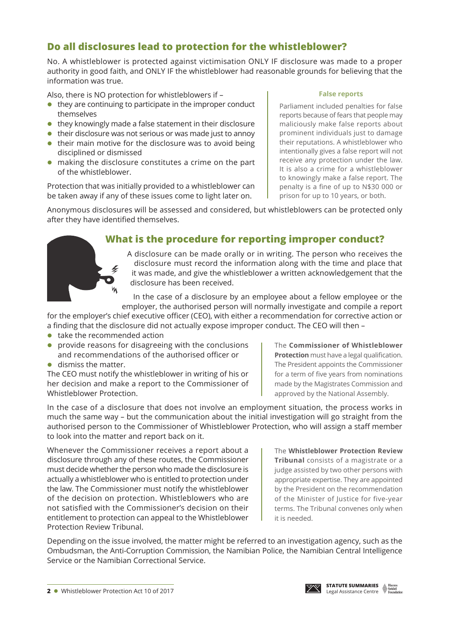# **Do all disclosures lead to protection for the whistleblower?**

No. A whistleblower is protected against victimisation ONLY IF disclosure was made to a proper authority in good faith, and ONLY IF the whistleblower had reasonable grounds for believing that the information was true.

Also, there is NO protection for whistleblowers if –

- $\bullet$  they are continuing to participate in the improper conduct themselves
- $\bullet$  they knowingly made a false statement in their disclosure
- $\bullet$  their disclosure was not serious or was made just to annoy
- $\bullet$  their main motive for the disclosure was to avoid being disciplined or dismissed
- $\bullet$  making the disclosure constitutes a crime on the part of the whistleblower.

Protection that was initially provided to a whistleblower can be taken away if any of these issues come to light later on.

**False reports** 

Parliament included penalties for false reports because of fears that people may maliciously make false reports about prominent individuals just to damage their reputations. A whistleblower who intentionally gives a false report will not receive any protection under the law. It is also a crime for a whistleblower to knowingly make a false report. The penalty is a fine of up to N\$30 000 or prison for up to 10 years, or both.

Anonymous disclosures will be assessed and considered, but whistleblowers can be protected only after they have identified themselves.

# **What is the procedure for reporting improper conduct?**

A disclosure can be made orally or in writing. The person who receives the disclosure must record the information along with the time and place that it was made, and give the whistleblower a written acknowledgement that the disclosure has been received.

In the case of a disclosure by an employee about a fellow employee or the employer, the authorised person will normally investigate and compile a report

for the employer's chief executive officer (CEO), with either a recommendation for corrective action or a finding that the disclosure did not actually expose improper conduct. The CEO will then –

 $\bullet$  take the recommended action

Ł

- $\bullet$  provide reasons for disagreeing with the conclusions and recommendations of the authorised officer or
- $\bullet$  dismiss the matter.

The CEO must notify the whistleblower in writing of his or her decision and make a report to the Commissioner of Whistleblower Protection.

The **Commissioner of Whistleblower Protection** must have a legal qualification. The President appoints the Commissioner for a term of five years from nominations made by the Magistrates Commission and approved by the National Assembly.

In the case of a disclosure that does not involve an employment situation, the process works in much the same way – but the communication about the initial investigation will go straight from the authorised person to the Commissioner of Whistleblower Protection, who will assign a staff member to look into the matter and report back on it.

Whenever the Commissioner receives a report about a disclosure through any of these routes, the Commissioner must decide whether the person who made the disclosure is actually a whistleblower who is entitled to protection under the law. The Commissioner must notify the whistleblower of the decision on protection. Whistleblowers who are not satisfied with the Commissioner's decision on their entitlement to protection can appeal to the Whistleblower Protection Review Tribunal.

The **Whistleblower Protection Review Tribunal** consists of a magistrate or a judge assisted by two other persons with appropriate expertise. They are appointed by the President on the recommendation of the Minister of Justice for five-year terms. The Tribunal convenes only when it is needed.

Depending on the issue involved, the matter might be referred to an investigation agency, such as the Ombudsman, the Anti-Corruption Commission, the Namibian Police, the Namibian Central Intelligence Service or the Namibian Correctional Service.

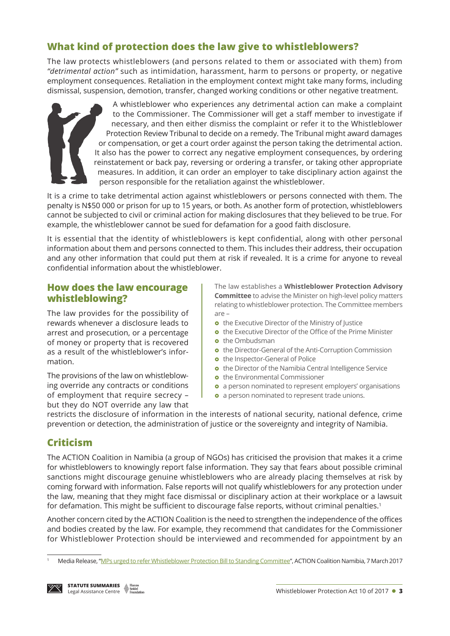# **What kind of protection does the law give to whistleblowers?**

The law protects whistleblowers (and persons related to them or associated with them) from *"detrimental action"* such as intimidation, harassment, harm to persons or property, or negative employment consequences. Retaliation in the employment context might take many forms, including dismissal, suspension, demotion, transfer, changed working conditions or other negative treatment.



A whistleblower who experiences any detrimental action can make a complaint to the Commissioner. The Commissioner will get a staff member to investigate if necessary, and then either dismiss the complaint or refer it to the Whistleblower Protection Review Tribunal to decide on a remedy. The Tribunal might award damages or compensation, or get a court order against the person taking the detrimental action. It also has the power to correct any negative employment consequences, by ordering reinstatement or back pay, reversing or ordering a transfer, or taking other appropriate measures. In addition, it can order an employer to take disciplinary action against the person responsible for the retaliation against the whistleblower.

It is a crime to take detrimental action against whistleblowers or persons connected with them. The penalty is N\$50 000 or prison for up to 15 years, or both. As another form of protection, whistleblowers cannot be subjected to civil or criminal action for making disclosures that they believed to be true. For example, the whistleblower cannot be sued for defamation for a good faith disclosure.

It is essential that the identity of whistleblowers is kept confidential, along with other personal information about them and persons connected to them. This includes their address, their occupation and any other information that could put them at risk if revealed. It is a crime for anyone to reveal confidential information about the whistleblower.

#### **How does the law encourage whistleblowing?**

The law provides for the possibility of rewards whenever a disclosure leads to arrest and prosecution, or a percentage of money or property that is recovered as a result of the whistleblower's information.

The provisions of the law on whistleblowing override any contracts or conditions of employment that require secrecy – but they do NOT override any law that The law establishes a **Whistleblower Protection Advisory Committee** to advise the Minister on high-level policy matters relating to whistleblower protection. The Committee members are –

- **o** the Executive Director of the Ministry of Justice
- **o** the Executive Director of the Office of the Prime Minister
- **o** the Ombudsman
- **o** the Director-General of the Anti-Corruption Commission
- **o** the Inspector-General of Police
- **o** the Director of the Namibia Central Intelligence Service
- **o** the Environmental Commissioner
- **o** a person nominated to represent employers' organisations
- **•** a person nominated to represent trade unions.

restricts the disclosure of information in the interests of national security, national defence, crime prevention or detection, the administration of justice or the sovereignty and integrity of Namibia.

# **Criticism**

The ACTION Coalition in Namibia (a group of NGOs) has criticised the provision that makes it a crime for whistleblowers to knowingly report false information. They say that fears about possible criminal sanctions might discourage genuine whistleblowers who are already placing themselves at risk by coming forward with information. False reports will not qualify whistleblowers for any protection under the law, meaning that they might face dismissal or disciplinary action at their workplace or a lawsuit for defamation. This might be sufficient to discourage false reports, without criminal penalties.<sup>1</sup>

Another concern cited by the ACTION Coalition is the need to strengthen the independence of the offices and bodies created by the law. For example, they recommend that candidates for the Commissioner for Whistleblower Protection should be interviewed and recommended for appointment by an

<sup>1</sup> Media Release, ["MPs urged to refer Whistleblower Protection Bill to Standing Committee](https://action-namibia.org/mps-urged-refer-whistleblower-protection-bill-standing-committee/)", ACTION Coalition Namibia, 7 March 2017